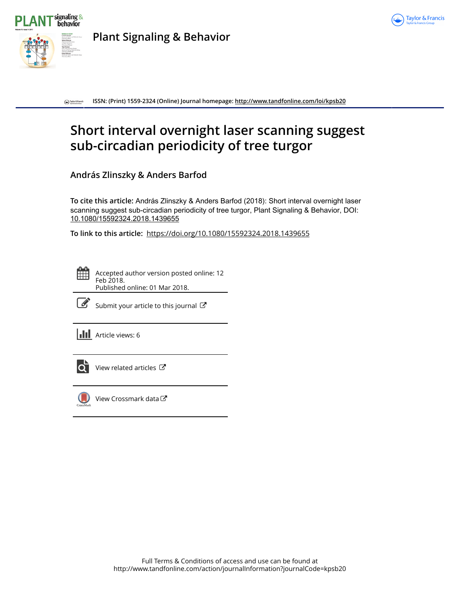



**Plant Signaling & Behavior**

**ISSN: (Print) 1559-2324 (Online) Journal homepage:<http://www.tandfonline.com/loi/kpsb20>**  $\bigodot$  Taylor & Francis

# **Short interval overnight laser scanning suggest sub-circadian periodicity of tree turgor**

**András Zlinszky & Anders Barfod**

**To cite this article:** András Zlinszky & Anders Barfod (2018): Short interval overnight laser scanning suggest sub-circadian periodicity of tree turgor, Plant Signaling & Behavior, DOI: [10.1080/15592324.2018.1439655](http://www.tandfonline.com/action/showCitFormats?doi=10.1080/15592324.2018.1439655)

**To link to this article:** <https://doi.org/10.1080/15592324.2018.1439655>

Accepted author version posted online: 12 Feb 2018. Published online: 01 Mar 2018.



 $\mathbb{Z}$  [Submit your article to this journal](http://www.tandfonline.com/action/authorSubmission?journalCode=kpsb20&show=instructions)  $\mathbb{Z}$ 

**III** Article views: 6



[View related articles](http://www.tandfonline.com/doi/mlt/10.1080/15592324.2018.1439655)  $\mathbb{Z}$ 



[View Crossmark data](http://crossmark.crossref.org/dialog/?doi=10.1080/15592324.2018.1439655&domain=pdf&date_stamp=2018-02-12)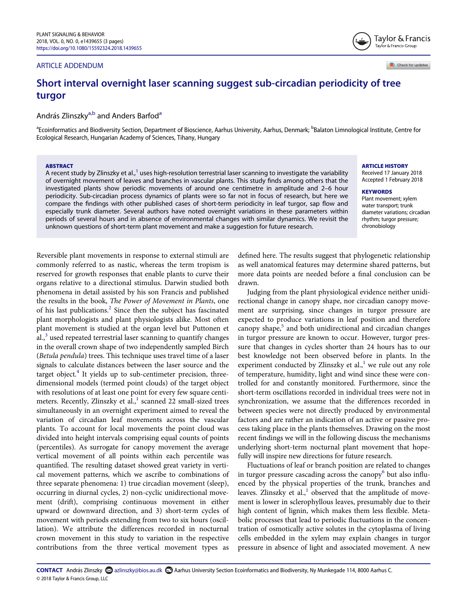# ARTICLE ADDENDUM

Check for updates

Taylor & Francis Taylor & Francis Group

# Short interval overnight laser scanning suggest sub-circadian periodicity of tree turgor

András Zlinszky<sup>[a,b](#page-1-0)</sup> [a](#page-1-0)nd Anders Barfod<sup>a</sup>

<span id="page-1-0"></span><sup>a</sup>Ecoinformatics and Biodiversity Section, Department of Bioscience, Aarhus University, Aarhus, Denmark; <sup>b</sup>Balaton Limnological Institute, Centre for Ecological Research, Hungarian Academy of Sciences, Tihany, Hungary

#### ABSTRACT

A recent study by Zlinszky et al., $1$  uses high-resolution terrestrial laser scanning to investigate the variability of overnight movement of leaves and branches in vascular plants. This study finds among others that the investigated plants show periodic movements of around one centimetre in amplitude and 2–6 hour periodicity. Sub-circadian process dynamics of plants were so far not in focus of research, but here we compare the findings with other published cases of short-term periodicity in leaf turgor, sap flow and especially trunk diameter. Several authors have noted overnight variations in these parameters within periods of several hours and in absence of environmental changes with similar dynamics. We revisit the unknown questions of short-term plant movement and make a suggestion for future research.

ARTICLE HISTORY

Received 17 January 2018 Accepted 1 February 2018

#### **KEYWORDS**

Plant movement; xylem water transport; trunk diameter variations; circadian rhythm; turgor pressure; chronobiology

<span id="page-1-5"></span><span id="page-1-4"></span><span id="page-1-3"></span><span id="page-1-2"></span>Reversible plant movements in response to external stimuli are commonly referred to as nastic, whereas the term tropism is reserved for growth responses that enable plants to curve their organs relative to a directional stimulus. Darwin studied both phenomena in detail assisted by his son Francis and published the results in the book, The Power of Movement in Plants, one of his last publications.<sup>[2](#page-2-1)</sup> Since then the subject has fascinated plant morphologists and plant physiologists alike. Most often plant movement is studied at the organ level but Puttonen et  $a_{n}^{3}$  $a_{n}^{3}$  $a_{n}^{3}$  used repeated terrestrial laser scanning to quantify changes in the overall crown shape of two independently sampled Birch (Betula pendula) trees. This technique uses travel time of a laser signals to calculate distances between the laser source and the target object. $4$  It yields up to sub-centimeter precision, threedimensional models (termed point clouds) of the target object with resolutions of at least one point for every few square centimeters. Recently, Zlinszky et al., $<sup>1</sup>$  $<sup>1</sup>$  $<sup>1</sup>$  scanned 22 small-sized trees</sup> simultaneously in an overnight experiment aimed to reveal the variation of circadian leaf movements across the vascular plants. To account for local movements the point cloud was divided into height intervals comprising equal counts of points (percentiles). As surrogate for canopy movement the average vertical movement of all points within each percentile was quantified. The resulting dataset showed great variety in vertical movement patterns, which we ascribe to combinations of three separate phenomena: 1) true circadian movement (sleep), occurring in diurnal cycles, 2) non-cyclic unidirectional movement (drift), comprising continuous movement in either upward or downward direction, and 3) short-term cycles of movement with periods extending from two to six hours (oscillation). We attribute the differences recorded in nocturnal crown movement in this study to variation in the respective contributions from the three vertical movement types as

defined here. The results suggest that phylogenetic relationship as well anatomical features may determine shared patterns, but more data points are needed before a final conclusion can be drawn.

Judging from the plant physiological evidence neither unidirectional change in canopy shape, nor circadian canopy movement are surprising, since changes in turgor pressure are expected to produce variations in leaf position and therefore canopy shape,<sup>[5](#page-3-2)</sup> and both unidirectional and circadian changes in turgor pressure are known to occur. However, turgor pressure that changes in cycles shorter than 24 hours has to our best knowledge not been observed before in plants. In the experiment conducted by Zlinszky et al., $<sup>1</sup>$  $<sup>1</sup>$  $<sup>1</sup>$  we rule out any role</sup> of temperature, humidity, light and wind since these were controlled for and constantly monitored. Furthermore, since the short-term oscillations recorded in individual trees were not in synchronization, we assume that the differences recorded in between species were not directly produced by environmental factors and are rather an indication of an active or passive process taking place in the plants themselves. Drawing on the most recent findings we will in the following discuss the mechanisms underlying short-term nocturnal plant movement that hopefully will inspire new directions for future research.

<span id="page-1-6"></span><span id="page-1-1"></span>Fluctuations of leaf or branch position are related to changes in turgor pressure cascading across the canopy<sup>[6](#page-3-3)</sup> but also influenced by the physical properties of the trunk, branches and leaves. Zlinszky et al., $\frac{1}{1}$  $\frac{1}{1}$  $\frac{1}{1}$  observed that the amplitude of movement is lower in sclerophyllous leaves, presumably due to their high content of lignin, which makes them less flexible. Metabolic processes that lead to periodic fluctuations in the concentration of osmotically active solutes in the cytoplasma of living cells embedded in the xylem may explain changes in turgor pressure in absence of light and associated movement. A new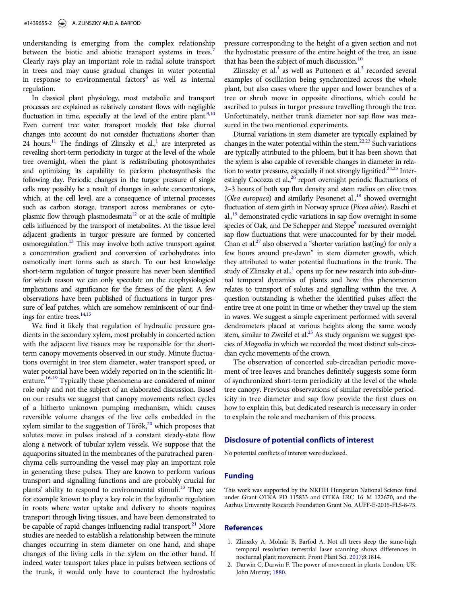<span id="page-2-5"></span><span id="page-2-2"></span>understanding is emerging from the complex relationship between the biotic and abiotic transport systems in trees.<sup>[7](#page-3-4)</sup> Clearly rays play an important role in radial solute transport in trees and may cause gradual changes in water potential in response to environmental factors $8$  as well as internal regulation.

<span id="page-2-18"></span><span id="page-2-16"></span><span id="page-2-15"></span><span id="page-2-11"></span><span id="page-2-6"></span><span id="page-2-3"></span>In classical plant physiology, most metabolic and transport processes are explained as relatively constant flows with negligible fluctuation in time, especially at the level of the entire plant.<sup>9[,10](#page-3-7)</sup> Even current tree water transport models that take diurnal changes into account do not consider fluctuations shorter than 24 hours.<sup>11</sup> The findings of Zlinszky et al.,<sup>1</sup> are interpreted as revealing short-term periodicity in turgor at the level of the whole tree overnight, when the plant is redistributing photosynthates and optimizing its capability to perform photosynthesis the following day. Periodic changes in the turgor pressure of single cells may possibly be a result of changes in solute concentrations, which, at the cell level, are a consequence of internal processes such as carbon storage, transport across membranes or cytoplasmic flow through plasmodesmata<sup>12</sup> or at the scale of multiple cells influenced by the transport of metabolites. At the tissue level adjacent gradients in turgor pressure are formed by concerted osmoregulation.<sup>13</sup> This may involve both active transport against a concentration gradient and conversion of carbohydrates into osmotically inert forms such as starch. To our best knowledge short-term regulation of turgor pressure has never been identified for which reason we can only speculate on the ecophysiological implications and significance for the fitness of the plant. A few observations have been published of fluctuations in turgor pressure of leaf patches, which are somehow reminiscent of our find-ings for entire trees.<sup>14,[15](#page-3-12)</sup>

<span id="page-2-19"></span><span id="page-2-17"></span><span id="page-2-14"></span><span id="page-2-13"></span><span id="page-2-12"></span><span id="page-2-10"></span><span id="page-2-9"></span><span id="page-2-8"></span><span id="page-2-7"></span><span id="page-2-4"></span>We find it likely that regulation of hydraulic pressure gradients in the secondary xylem, most probably in concerted action with the adjacent live tissues may be responsible for the shortterm canopy movements observed in our study. Minute fluctuations overnight in tree stem diameter, water transport speed, or water potential have been widely reported on in the scientific literature.<sup>16-19</sup> Typically these phenomena are considered of minor role only and not the subject of an elaborated discussion. Based on our results we suggest that canopy movements reflect cycles of a hitherto unknown pumping mechanism, which causes reversible volume changes of the live cells embedded in the xylem similar to the suggestion of Török,<sup>[20](#page-3-14)</sup> which proposes that solutes move in pulses instead of a constant steady-state flow along a network of tubular xylem vessels. We suppose that the aquaporins situated in the membranes of the paratracheal parenchyma cells surrounding the vessel may play an important role in generating these pulses. They are known to perform various transport and signalling functions and are probably crucial for plants' ability to respond to environmental stimuli.<sup>13</sup> They are for example known to play a key role in the hydraulic regulation in roots where water uptake and delivery to shoots requires transport through living tissues, and have been demonstrated to be capable of rapid changes influencing radial transport.<sup>21</sup> More studies are needed to establish a relationship between the minute changes occurring in stem diameter on one hand, and shape changes of the living cells in the xylem on the other hand. If indeed water transport takes place in pulses between sections of the trunk, it would only have to counteract the hydrostatic

pressure corresponding to the height of a given section and not the hydrostatic pressure of the entire height of the tree, an issue that has been the subject of much discussion.<sup>[10](#page-3-7)</sup>

Zlinszky et al. $<sup>1</sup>$  $<sup>1</sup>$  $<sup>1</sup>$  as well as Puttonen et al. $<sup>3</sup>$  $<sup>3</sup>$  $<sup>3</sup>$  recorded several</sup></sup> examples of oscillation being synchronized across the whole plant, but also cases where the upper and lower branches of a tree or shrub move in opposite directions, which could be ascribed to pulses in turgor pressure travelling through the tree. Unfortunately, neither trunk diameter nor sap flow was measured in the two mentioned experiments.

Diurnal variations in stem diameter are typically explained by changes in the water potential within the stem.<sup>22,[23](#page-3-17)</sup> Such variations are typically attributed to the phloem, but it has been shown that the xylem is also capable of reversible changes in diameter in rela-tion to water pressure, especially if not strongly lignified.<sup>24[,25](#page-3-19)</sup> Interestingly Cocozza et al.,<sup>26</sup> report overnight periodic fluctuations of 2–3 hours of both sap flux density and stem radius on olive trees (Olea europaea) and similarly Pesonenet al.,<sup>18</sup> showed overnight fluctuation of stem girth in Norway spruce (Picea abies). Raschi et al.,<sup>19</sup> demonstrated cyclic variations in sap flow overnight in some species of Oak, and De Schepper and Steppe<sup>9</sup> measured overnight sap flow fluctuations that were unaccounted for by their model. Chan et al.<sup>27</sup> also observed a "shorter variation last(ing) for only a few hours around pre-dawn" in stem diameter growth, which they attributed to water potential fluctuations in the trunk. The study of Zlinszky et al., $\frac{1}{2}$  opens up for new research into sub-diurnal temporal dynamics of plants and how this phenomenon relates to transport of solutes and signalling within the tree. A question outstanding is whether the identified pulses affect the entire tree at one point in time or whether they travel up the stem in waves. We suggest a simple experiment performed with several dendrometers placed at various heights along the same woody stem, similar to Zweifel et al.<sup>[25](#page-3-19)</sup> As study organism we suggest species of Magnolia in which we recorded the most distinct sub-circadian cyclic movements of the crown.

The observation of concerted sub-circadian periodic movement of tree leaves and branches definitely suggests some form of synchronized short-term periodicity at the level of the whole tree canopy. Previous observations of similar reversible periodicity in tree diameter and sap flow provide the first clues on how to explain this, but dedicated research is necessary in order to explain the role and mechanism of this process.

## Disclosure of potential conflicts of interest

No potential conflicts of interest were disclosed.

### Funding

This work was supported by the NKFIH Hungarian National Science fund under Grant OTKA PD 115833 and OTKA ERC\_16\_M 122670, and the Aarhus University Research Foundation Grant No. AUFF-E-2015-FLS-8-73.

# <span id="page-2-1"></span><span id="page-2-0"></span>**References**

- 1. Zlinszky A, Molnár B, Barfod A. Not all trees sleep the same-high temporal resolution terrestrial laser scanning shows differences in nocturnal plant movement. Front Plant Sci. [2017](#page-1-1);8:1814.
- 2. Darwin C, Darwin F. The power of movement in plants. London, UK: John Murray; [1880.](#page-1-2)